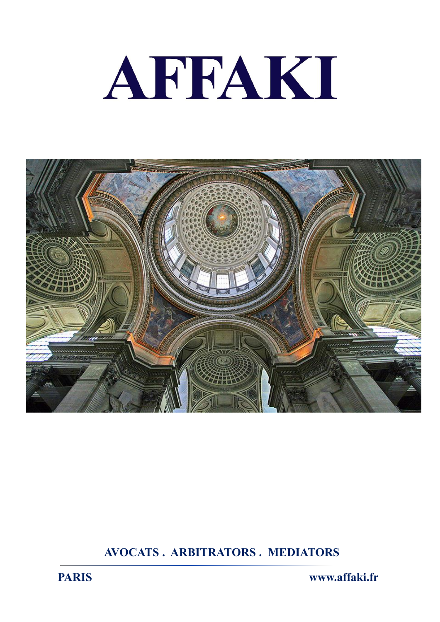



**AVOCATS . ARBITRATORS . MEDIATORS**

**PARIS www.affaki.fr**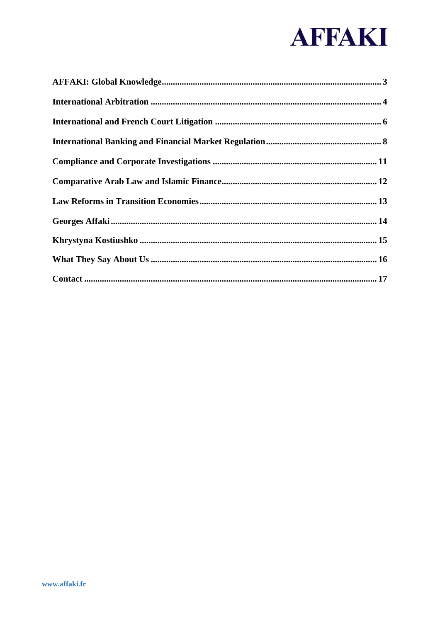# AFFAKI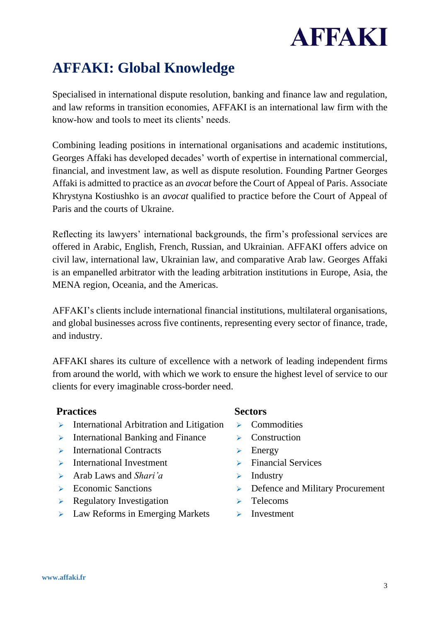

# <span id="page-2-0"></span>**AFFAKI: Global Knowledge**

Specialised in international dispute resolution, banking and finance law and regulation, and law reforms in transition economies, AFFAKI is an international law firm with the know-how and tools to meet its clients' needs.

Combining leading positions in international organisations and academic institutions, Georges Affaki has developed decades' worth of expertise in international commercial, financial, and investment law, as well as dispute resolution. Founding Partner Georges Affaki is admitted to practice as an *avocat* before the Court of Appeal of Paris. Associate Khrystyna Kostiushko is an *avocat* qualified to practice before the Court of Appeal of Paris and the courts of Ukraine.

Reflecting its lawyers' international backgrounds, the firm's professional services are offered in Arabic, English, French, Russian, and Ukrainian. AFFAKI offers advice on civil law, international law, Ukrainian law, and comparative Arab law. Georges Affaki is an empanelled arbitrator with the leading arbitration institutions in Europe, Asia, the MENA region, Oceania, and the Americas.

AFFAKI's clients include international financial institutions, multilateral organisations, and global businesses across five continents, representing every sector of finance, trade, and industry.

AFFAKI shares its culture of excellence with a network of leading independent firms from around the world, with which we work to ensure the highest level of service to our clients for every imaginable cross-border need.

#### **Practices**

- ➢ International Arbitration and Litigation
- $\triangleright$  International Banking and Finance
- ➢ International Contracts
- ➢ International Investment
- ➢ Arab Laws and *Shari'a*
- ➢ Economic Sanctions
- $\triangleright$  Regulatory Investigation
- ➢ Law Reforms in Emerging Markets

#### **Sectors**

- ➢ Commodities
- ➢ Construction
- $\triangleright$  Energy
- ➢ Financial Services
- $\triangleright$  Industry
- ➢ Defence and Military Procurement
- ➢ Telecoms
- ➢ Investment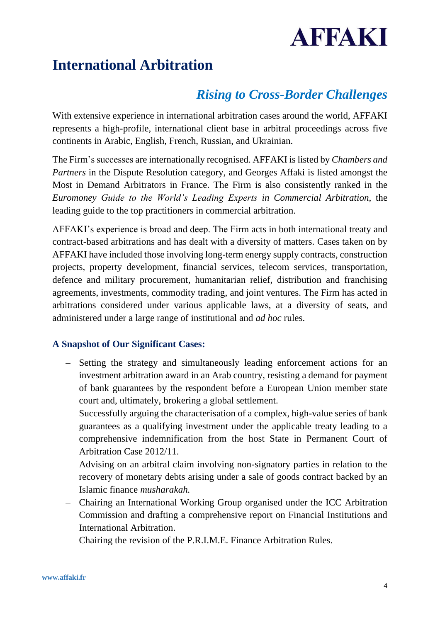# **AFFAKI**

## <span id="page-3-0"></span>**International Arbitration**

### *Rising to Cross-Border Challenges*

With extensive experience in international arbitration cases around the world, AFFAKI represents a high-profile, international client base in arbitral proceedings across five continents in Arabic, English, French, Russian, and Ukrainian.

The Firm's successes are internationally recognised. AFFAKI is listed by *Chambers and Partners* in the Dispute Resolution category, and Georges Affaki is listed amongst the Most in Demand Arbitrators in France. The Firm is also consistently ranked in the *Euromoney Guide to the World's Leading Experts in Commercial Arbitration*, the leading guide to the top practitioners in commercial arbitration.

AFFAKI's experience is broad and deep. The Firm acts in both international treaty and contract-based arbitrations and has dealt with a diversity of matters. Cases taken on by AFFAKI have included those involving long-term energy supply contracts, construction projects, property development, financial services, telecom services, transportation, defence and military procurement, humanitarian relief, distribution and franchising agreements, investments, commodity trading, and joint ventures. The Firm has acted in arbitrations considered under various applicable laws, at a diversity of seats, and administered under a large range of institutional and *ad hoc* rules.

#### **A Snapshot of Our Significant Cases:**

- Setting the strategy and simultaneously leading enforcement actions for an investment arbitration award in an Arab country, resisting a demand for payment of bank guarantees by the respondent before a European Union member state court and, ultimately, brokering a global settlement.
- Successfully arguing the characterisation of a complex, high-value series of bank guarantees as a qualifying investment under the applicable treaty leading to a comprehensive indemnification from the host State in Permanent Court of Arbitration Case 2012/11.
- Advising on an arbitral claim involving non-signatory parties in relation to the recovery of monetary debts arising under a sale of goods contract backed by an Islamic finance *musharakah.*
- Chairing an International Working Group organised under the ICC Arbitration Commission and drafting a comprehensive report on Financial Institutions and International Arbitration.
- Chairing the revision of the P.R.I.M.E. Finance Arbitration Rules.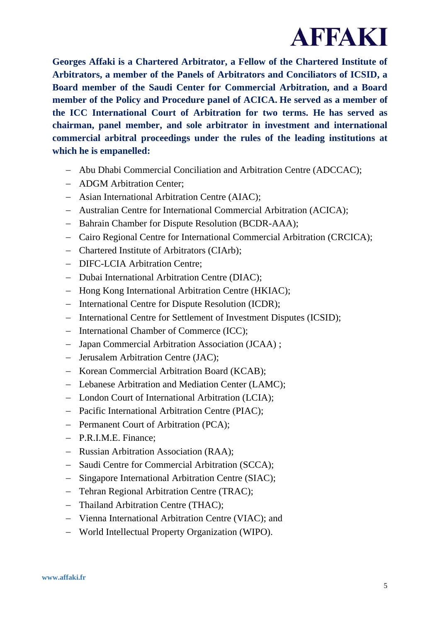

**Georges Affaki is a Chartered Arbitrator, a Fellow of the Chartered Institute of Arbitrators, a member of the Panels of Arbitrators and Conciliators of ICSID, a Board member of the Saudi Center for Commercial Arbitration, and a Board member of the Policy and Procedure panel of ACICA. He served as a member of the ICC International Court of Arbitration for two terms. He has served as chairman, panel member, and sole arbitrator in investment and international commercial arbitral proceedings under the rules of the leading institutions at which he is empanelled:**

- − Abu Dhabi Commercial Conciliation and Arbitration Centre (ADCCAC);
- − ADGM Arbitration Center;
- − Asian International Arbitration Centre (AIAC);
- − Australian Centre for International Commercial Arbitration (ACICA);
- − Bahrain Chamber for Dispute Resolution (BCDR-AAA);
- − Cairo Regional Centre for International Commercial Arbitration (CRCICA);
- − Chartered Institute of Arbitrators (CIArb);
- − DIFC-LCIA Arbitration Centre;
- − Dubai International Arbitration Centre (DIAC);
- − Hong Kong International Arbitration Centre (HKIAC);
- − International Centre for Dispute Resolution (ICDR);
- − International Centre for Settlement of Investment Disputes (ICSID);
- − International Chamber of Commerce (ICC);
- − Japan Commercial Arbitration Association (JCAA) ;
- − Jerusalem Arbitration Centre (JAC);
- − Korean Commercial Arbitration Board (KCAB);
- − Lebanese Arbitration and Mediation Center (LAMC);
- − London Court of International Arbitration (LCIA);
- − Pacific International Arbitration Centre (PIAC);
- − Permanent Court of Arbitration (PCA);
- − P.R.I.M.E. Finance;
- − Russian Arbitration Association (RAA);
- − Saudi Centre for Commercial Arbitration (SCCA);
- − Singapore International Arbitration Centre (SIAC);
- − Tehran Regional Arbitration Centre (TRAC);
- − Thailand Arbitration Centre (THAC);
- − Vienna International Arbitration Centre (VIAC); and
- − World Intellectual Property Organization (WIPO).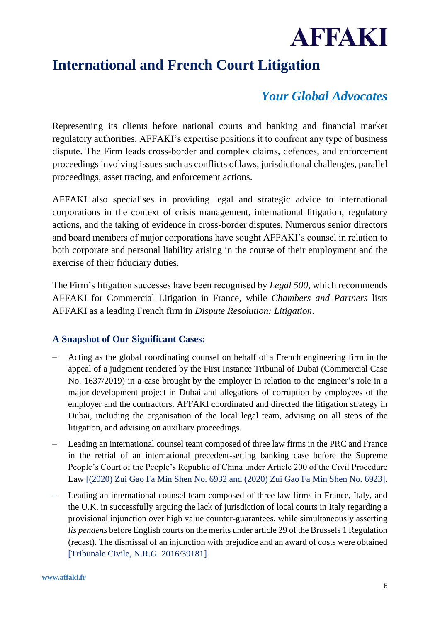

# <span id="page-5-0"></span>**International and French Court Litigation**

### *Your Global Advocates*

Representing its clients before national courts and banking and financial market regulatory authorities, AFFAKI's expertise positions it to confront any type of business dispute. The Firm leads cross-border and complex claims, defences, and enforcement proceedings involving issues such as conflicts of laws, jurisdictional challenges, parallel proceedings, asset tracing, and enforcement actions.

AFFAKI also specialises in providing legal and strategic advice to international corporations in the context of crisis management, international litigation, regulatory actions, and the taking of evidence in cross-border disputes. Numerous senior directors and board members of major corporations have sought AFFAKI's counsel in relation to both corporate and personal liability arising in the course of their employment and the exercise of their fiduciary duties.

The Firm's litigation successes have been recognised by *Legal 500*, which recommends AFFAKI for Commercial Litigation in France, while *Chambers and Partners* lists AFFAKI as a leading French firm in *Dispute Resolution: Litigation*.

#### **A Snapshot of Our Significant Cases:**

- Acting as the global coordinating counsel on behalf of a French engineering firm in the appeal of a judgment rendered by the First Instance Tribunal of Dubai (Commercial Case No. 1637/2019) in a case brought by the employer in relation to the engineer's role in a major development project in Dubai and allegations of corruption by employees of the employer and the contractors. AFFAKI coordinated and directed the litigation strategy in Dubai, including the organisation of the local legal team, advising on all steps of the litigation, and advising on auxiliary proceedings.
- Leading an international counsel team composed of three law firms in the PRC and France in the retrial of an international precedent-setting banking case before the Supreme People's Court of the People's Republic of China under Article 200 of the Civil Procedure Law [(2020) Zui Gao Fa Min Shen No. 6932 and (2020) Zui Gao Fa Min Shen No. 6923].
- Leading an international counsel team composed of three law firms in France, Italy, and the U.K. in successfully arguing the lack of jurisdiction of local courts in Italy regarding a provisional injunction over high value counter-guarantees, while simultaneously asserting *lis pendens* before English courts on the merits under article 29 of the Brussels 1 Regulation (recast). The dismissal of an injunction with prejudice and an award of costs were obtained [Tribunale Civile, N.R.G. 2016/39181].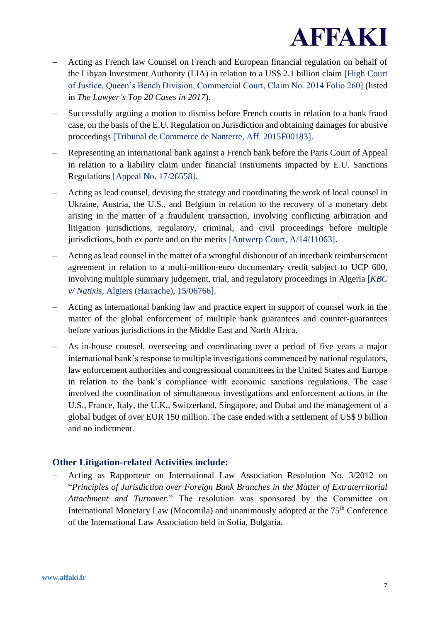

- − Acting as French law Counsel on French and European financial regulation on behalf of the Libyan Investment Authority (LIA) in relation to a US\$ 2.1 billion claim [High Court of Justice, Queen's Bench Division, Commercial Court, Claim No. 2014 Folio 260] (listed in *The Lawyer's Top 20 Cases in 2017*).
- Successfully arguing a motion to dismiss before French courts in relation to a bank fraud case, on the basis of the E.U. Regulation on Jurisdiction and obtaining damages for abusive proceedings [Tribunal de Commerce de Nanterre, Aff. 2015F00183].
- Representing an international bank against a French bank before the Paris Court of Appeal in relation to a liability claim under financial instruments impacted by E.U. Sanctions Regulations [Appeal No. 17/26558].
- Acting as lead counsel, devising the strategy and coordinating the work of local counsel in Ukraine, Austria, the U.S., and Belgium in relation to the recovery of a monetary debt arising in the matter of a fraudulent transaction, involving conflicting arbitration and litigation jurisdictions, regulatory, criminal, and civil proceedings before multiple jurisdictions, both *ex parte* and on the merits [Antwerp Court, A/14/11063].
- Acting as lead counsel in the matter of a wrongful dishonour of an interbank reimbursement agreement in relation to a multi-million-euro documentary credit subject to UCP 600, involving multiple summary judgement, trial, and regulatory proceedings in Algeria [*KBC v/ Natixis*, Algiers (Harrache), 15/06766].
- Acting as international banking law and practice expert in support of counsel work in the matter of the global enforcement of multiple bank guarantees and counter-guarantees before various jurisdictions in the Middle East and North Africa.
- As in-house counsel, overseeing and coordinating over a period of five years a major international bank's response to multiple investigations commenced by national regulators, law enforcement authorities and congressional committees in the United States and Europe in relation to the bank's compliance with economic sanctions regulations. The case involved the coordination of simultaneous investigations and enforcement actions in the U.S., France, Italy, the U.K., Switzerland, Singapore, and Dubai and the management of a global budget of over EUR 150 million. The case ended with a settlement of US\$ 9 billion and no indictment.

#### **Other Litigation-related Activities include:**

– Acting as Rapporteur on International Law Association Resolution No. 3/2012 on "*Principles of Jurisdiction over Foreign Bank Branches in the Matter of Extraterritorial Attachment and Turnover*." The resolution was sponsored by the Committee on International Monetary Law (Mocomila) and unanimously adopted at the 75th Conference of the International Law Association held in Sofia, Bulgaria.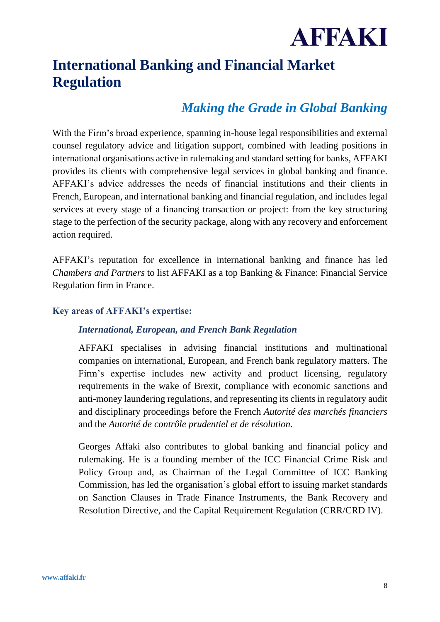

# <span id="page-7-0"></span>**International Banking and Financial Market Regulation**

### *Making the Grade in Global Banking*

With the Firm's broad experience, spanning in-house legal responsibilities and external counsel regulatory advice and litigation support, combined with leading positions in international organisations active in rulemaking and standard setting for banks, AFFAKI provides its clients with comprehensive legal services in global banking and finance. AFFAKI's advice addresses the needs of financial institutions and their clients in French, European, and international banking and financial regulation, and includes legal services at every stage of a financing transaction or project: from the key structuring stage to the perfection of the security package, along with any recovery and enforcement action required.

AFFAKI's reputation for excellence in international banking and finance has led *Chambers and Partners* to list AFFAKI as a top Banking & Finance: Financial Service Regulation firm in France.

#### **Key areas of AFFAKI's expertise:**

#### *International, European, and French Bank Regulation*

AFFAKI specialises in advising financial institutions and multinational companies on international, European, and French bank regulatory matters. The Firm's expertise includes new activity and product licensing, regulatory requirements in the wake of Brexit, compliance with economic sanctions and anti-money laundering regulations, and representing its clients in regulatory audit and disciplinary proceedings before the French *Autorité des marchés financiers* and the *Autorité de contrôle prudentiel et de résolution*.

Georges Affaki also contributes to global banking and financial policy and rulemaking. He is a founding member of the ICC Financial Crime Risk and Policy Group and, as Chairman of the Legal Committee of ICC Banking Commission, has led the organisation's global effort to issuing market standards on Sanction Clauses in Trade Finance Instruments, the Bank Recovery and Resolution Directive, and the Capital Requirement Regulation (CRR/CRD IV).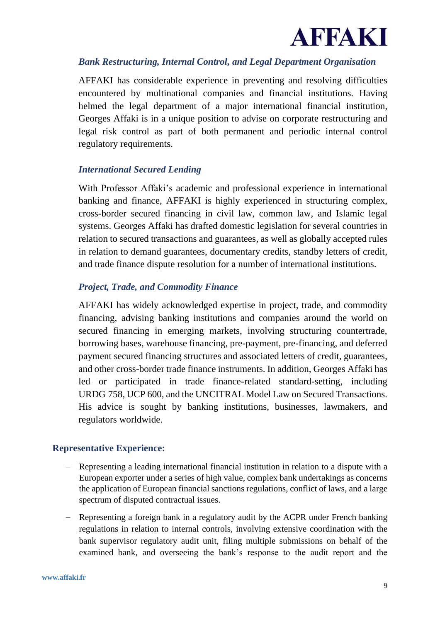

#### *Bank Restructuring, Internal Control, and Legal Department Organisation*

AFFAKI has considerable experience in preventing and resolving difficulties encountered by multinational companies and financial institutions. Having helmed the legal department of a major international financial institution, Georges Affaki is in a unique position to advise on corporate restructuring and legal risk control as part of both permanent and periodic internal control regulatory requirements.

#### *International Secured Lending*

With Professor Affaki's academic and professional experience in international banking and finance, AFFAKI is highly experienced in structuring complex, cross-border secured financing in civil law, common law, and Islamic legal systems. Georges Affaki has drafted domestic legislation for several countries in relation to secured transactions and guarantees, as well as globally accepted rules in relation to demand guarantees, documentary credits, standby letters of credit, and trade finance dispute resolution for a number of international institutions.

#### *Project, Trade, and Commodity Finance*

AFFAKI has widely acknowledged expertise in project, trade, and commodity financing, advising banking institutions and companies around the world on secured financing in emerging markets, involving structuring countertrade, borrowing bases, warehouse financing, pre-payment, pre-financing, and deferred payment secured financing structures and associated letters of credit, guarantees, and other cross-border trade finance instruments. In addition, Georges Affaki has led or participated in trade finance-related standard-setting, including URDG 758, UCP 600, and the UNCITRAL Model Law on Secured Transactions. His advice is sought by banking institutions, businesses, lawmakers, and regulators worldwide.

#### **Representative Experience:**

- − Representing a leading international financial institution in relation to a dispute with a European exporter under a series of high value, complex bank undertakings as concerns the application of European financial sanctions regulations, conflict of laws, and a large spectrum of disputed contractual issues.
- − Representing a foreign bank in a regulatory audit by the ACPR under French banking regulations in relation to internal controls, involving extensive coordination with the bank supervisor regulatory audit unit, filing multiple submissions on behalf of the examined bank, and overseeing the bank's response to the audit report and the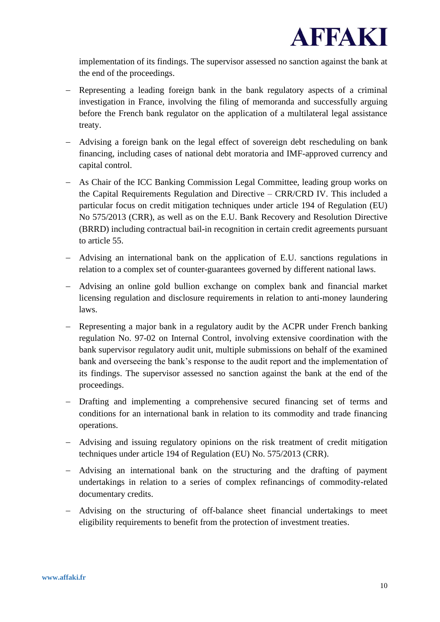

implementation of its findings. The supervisor assessed no sanction against the bank at the end of the proceedings.

- − Representing a leading foreign bank in the bank regulatory aspects of a criminal investigation in France, involving the filing of memoranda and successfully arguing before the French bank regulator on the application of a multilateral legal assistance treaty.
- − Advising a foreign bank on the legal effect of sovereign debt rescheduling on bank financing, including cases of national debt moratoria and IMF-approved currency and capital control.
- − As Chair of the ICC Banking Commission Legal Committee, leading group works on the Capital Requirements Regulation and Directive – CRR/CRD IV. This included a particular focus on credit mitigation techniques under article 194 of Regulation (EU) No 575/2013 (CRR), as well as on the E.U. Bank Recovery and Resolution Directive (BRRD) including contractual bail-in recognition in certain credit agreements pursuant to article 55.
- − Advising an international bank on the application of E.U. sanctions regulations in relation to a complex set of counter-guarantees governed by different national laws.
- − Advising an online gold bullion exchange on complex bank and financial market licensing regulation and disclosure requirements in relation to anti-money laundering laws.
- − Representing a major bank in a regulatory audit by the ACPR under French banking regulation No. 97-02 on Internal Control, involving extensive coordination with the bank supervisor regulatory audit unit, multiple submissions on behalf of the examined bank and overseeing the bank's response to the audit report and the implementation of its findings. The supervisor assessed no sanction against the bank at the end of the proceedings.
- − Drafting and implementing a comprehensive secured financing set of terms and conditions for an international bank in relation to its commodity and trade financing operations.
- − Advising and issuing regulatory opinions on the risk treatment of credit mitigation techniques under article 194 of Regulation (EU) No. 575/2013 (CRR).
- − Advising an international bank on the structuring and the drafting of payment undertakings in relation to a series of complex refinancings of commodity-related documentary credits.
- − Advising on the structuring of off-balance sheet financial undertakings to meet eligibility requirements to benefit from the protection of investment treaties.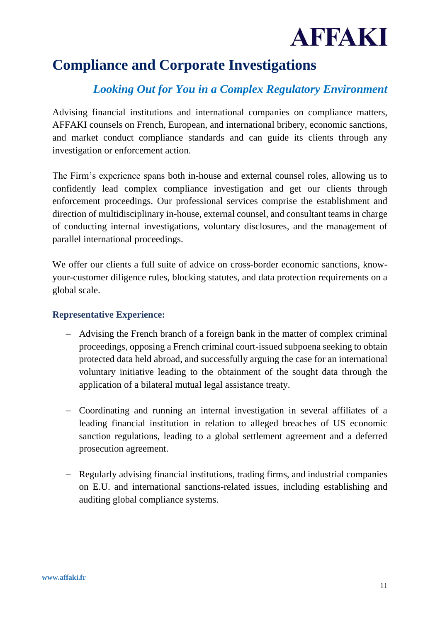

# <span id="page-10-0"></span>**Compliance and Corporate Investigations**

### *Looking Out for You in a Complex Regulatory Environment*

Advising financial institutions and international companies on compliance matters, AFFAKI counsels on French, European, and international bribery, economic sanctions, and market conduct compliance standards and can guide its clients through any investigation or enforcement action.

The Firm's experience spans both in-house and external counsel roles, allowing us to confidently lead complex compliance investigation and get our clients through enforcement proceedings. Our professional services comprise the establishment and direction of multidisciplinary in-house, external counsel, and consultant teams in charge of conducting internal investigations, voluntary disclosures, and the management of parallel international proceedings.

We offer our clients a full suite of advice on cross-border economic sanctions, knowyour-customer diligence rules, blocking statutes, and data protection requirements on a global scale.

#### **Representative Experience:**

- − Advising the French branch of a foreign bank in the matter of complex criminal proceedings, opposing a French criminal court-issued subpoena seeking to obtain protected data held abroad, and successfully arguing the case for an international voluntary initiative leading to the obtainment of the sought data through the application of a bilateral mutual legal assistance treaty.
- − Coordinating and running an internal investigation in several affiliates of a leading financial institution in relation to alleged breaches of US economic sanction regulations, leading to a global settlement agreement and a deferred prosecution agreement.
- − Regularly advising financial institutions, trading firms, and industrial companies on E.U. and international sanctions-related issues, including establishing and auditing global compliance systems.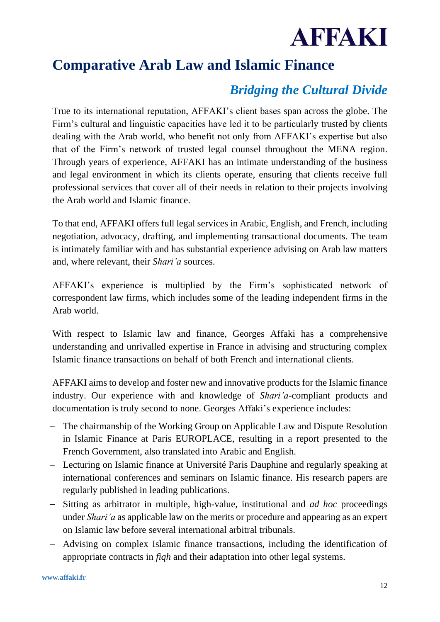

## <span id="page-11-0"></span>**Comparative Arab Law and Islamic Finance**

### *Bridging the Cultural Divide*

True to its international reputation, AFFAKI's client bases span across the globe. The Firm's cultural and linguistic capacities have led it to be particularly trusted by clients dealing with the Arab world, who benefit not only from AFFAKI's expertise but also that of the Firm's network of trusted legal counsel throughout the MENA region. Through years of experience, AFFAKI has an intimate understanding of the business and legal environment in which its clients operate, ensuring that clients receive full professional services that cover all of their needs in relation to their projects involving the Arab world and Islamic finance.

To that end, AFFAKI offers full legal services in Arabic, English, and French, including negotiation, advocacy, drafting, and implementing transactional documents. The team is intimately familiar with and has substantial experience advising on Arab law matters and, where relevant, their *Shari'a* sources.

AFFAKI's experience is multiplied by the Firm's sophisticated network of correspondent law firms, which includes some of the leading independent firms in the Arab world.

With respect to Islamic law and finance, Georges Affaki has a comprehensive understanding and unrivalled expertise in France in advising and structuring complex Islamic finance transactions on behalf of both French and international clients.

AFFAKI aims to develop and foster new and innovative products for the Islamic finance industry. Our experience with and knowledge of *Shari'a-*compliant products and documentation is truly second to none. Georges Affaki's experience includes:

- − The chairmanship of the Working Group on Applicable Law and Dispute Resolution in Islamic Finance at Paris EUROPLACE, resulting in a report presented to the French Government, also translated into Arabic and English.
- − Lecturing on Islamic finance at Université Paris Dauphine and regularly speaking at international conferences and seminars on Islamic finance. His research papers are regularly published in leading publications.
- − Sitting as arbitrator in multiple, high-value, institutional and *ad hoc* proceedings under *Shari'a* as applicable law on the merits or procedure and appearing as an expert on Islamic law before several international arbitral tribunals.
- − Advising on complex Islamic finance transactions, including the identification of appropriate contracts in *fiqh* and their adaptation into other legal systems.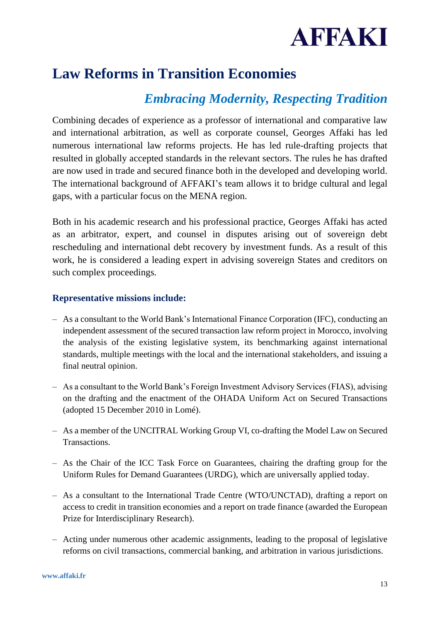

### <span id="page-12-0"></span>**Law Reforms in Transition Economies**

### *Embracing Modernity, Respecting Tradition*

Combining decades of experience as a professor of international and comparative law and international arbitration, as well as corporate counsel, Georges Affaki has led numerous international law reforms projects. He has led rule-drafting projects that resulted in globally accepted standards in the relevant sectors. The rules he has drafted are now used in trade and secured finance both in the developed and developing world. The international background of AFFAKI's team allows it to bridge cultural and legal gaps, with a particular focus on the MENA region.

Both in his academic research and his professional practice, Georges Affaki has acted as an arbitrator, expert, and counsel in disputes arising out of sovereign debt rescheduling and international debt recovery by investment funds. As a result of this work, he is considered a leading expert in advising sovereign States and creditors on such complex proceedings.

#### **Representative missions include:**

- As a consultant to the World Bank's International Finance Corporation (IFC), conducting an independent assessment of the secured transaction law reform project in Morocco, involving the analysis of the existing legislative system, its benchmarking against international standards, multiple meetings with the local and the international stakeholders, and issuing a final neutral opinion.
- As a consultant to the World Bank's Foreign Investment Advisory Services (FIAS), advising on the drafting and the enactment of the OHADA Uniform Act on Secured Transactions (adopted 15 December 2010 in Lomé).
- As a member of the UNCITRAL Working Group VI, co-drafting the Model Law on Secured Transactions.
- As the Chair of the ICC Task Force on Guarantees, chairing the drafting group for the Uniform Rules for Demand Guarantees (URDG), which are universally applied today.
- As a consultant to the International Trade Centre (WTO/UNCTAD), drafting a report on access to credit in transition economies and a report on trade finance (awarded the European Prize for Interdisciplinary Research).
- Acting under numerous other academic assignments, leading to the proposal of legislative reforms on civil transactions, commercial banking, and arbitration in various jurisdictions.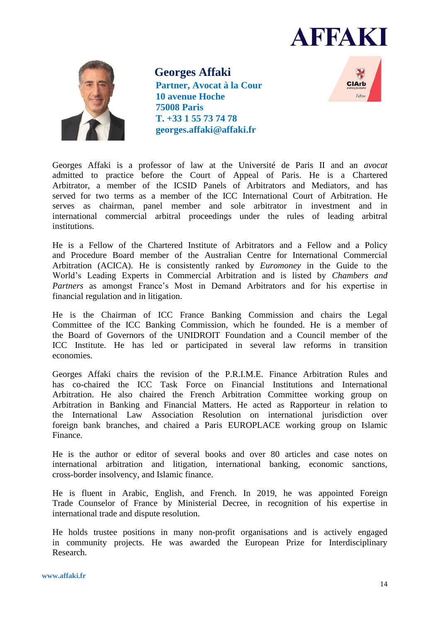



<span id="page-13-0"></span>**Georges Affaki Partner, Avocat à la Cour 10 avenue Hoche 75008 Paris T. +33 1 55 73 74 78 georges.affaki@affaki.fr**



Georges Affaki is a professor of law at the Université de Paris II and an *avocat* admitted to practice before the Court of Appeal of Paris. He is a Chartered Arbitrator, a member of the ICSID Panels of Arbitrators and Mediators, and has served for two terms as a member of the ICC International Court of Arbitration. He serves as chairman, panel member and sole arbitrator in investment and in international commercial arbitral proceedings under the rules of leading arbitral institutions.

He is a Fellow of the Chartered Institute of Arbitrators and a Fellow and a Policy and Procedure Board member of the Australian Centre for International Commercial Arbitration (ACICA). He is consistently ranked by *Euromoney* in the Guide to the World's Leading Experts in Commercial Arbitration and is listed by *Chambers and Partners* as amongst France's Most in Demand Arbitrators and for his expertise in financial regulation and in litigation.

He is the Chairman of ICC France Banking Commission and chairs the Legal Committee of the ICC Banking Commission, which he founded. He is a member of the Board of Governors of the UNIDROIT Foundation and a Council member of the ICC Institute. He has led or participated in several law reforms in transition economies.

Georges Affaki chairs the revision of the P.R.I.M.E. Finance Arbitration Rules and has co-chaired the ICC Task Force on Financial Institutions and International Arbitration. He also chaired the French Arbitration Committee working group on Arbitration in Banking and Financial Matters. He acted as Rapporteur in relation to the International Law Association Resolution on international jurisdiction over foreign bank branches, and chaired a Paris EUROPLACE working group on Islamic Finance.

He is the author or editor of several books and over 80 articles and case notes on international arbitration and litigation, international banking, economic sanctions, cross-border insolvency, and Islamic finance.

He is fluent in Arabic, English, and French. In 2019, he was appointed Foreign Trade Counselor of France by Ministerial Decree, in recognition of his expertise in international trade and dispute resolution.

He holds trustee positions in many non-profit organisations and is actively engaged in community projects. He was awarded the European Prize for Interdisciplinary Research.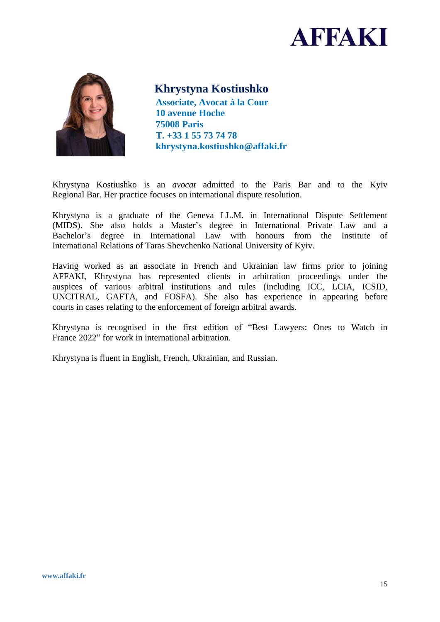



#### <span id="page-14-0"></span>**Khrystyna Kostiushko**

**Associate, Avocat à la Cour 10 avenue Hoche 75008 Paris T. +33 1 55 73 74 78 khrystyna.kostiushko@affaki.fr**

Khrystyna Kostiushko is an *avocat* admitted to the Paris Bar and to the Kyiv Regional Bar. Her practice focuses on international dispute resolution.

Khrystyna is a graduate of the Geneva LL.M. in International Dispute Settlement (MIDS). She also holds a Master's degree in International Private Law and a Bachelor's degree in International Law with honours from the Institute of International Relations of Taras Shevchenko National University of Kyiv.

Having worked as an associate in French and Ukrainian law firms prior to joining AFFAKI, Khrystyna has represented clients in arbitration proceedings under the auspices of various arbitral institutions and rules (including ICC, LCIA, ICSID, UNCITRAL, GAFTA, and FOSFA). She also has experience in appearing before courts in cases relating to the enforcement of foreign arbitral awards.

Khrystyna is recognised in the first edition of "Best Lawyers: Ones to Watch in France 2022" for work in international arbitration.

Khrystyna is fluent in English, French, Ukrainian, and Russian.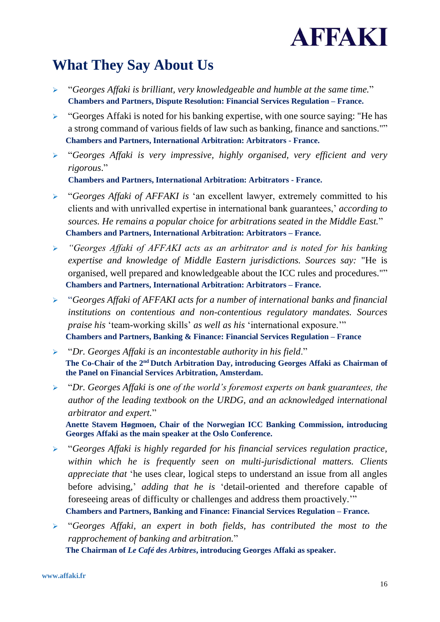

## <span id="page-15-0"></span>**What They Say About Us**

- ➢ "*Georges Affaki is brilliant, very knowledgeable and humble at the same time.*" **Chambers and Partners, Dispute Resolution: Financial Services Regulation – France.**
- ➢ "Georges Affaki is noted for his banking expertise, with one source saying: "He has a strong command of various fields of law such as banking, finance and sanctions."" **Chambers and Partners, International Arbitration: Arbitrators - France.**
- ➢ "*Georges Affaki is very impressive, highly organised, very efficient and very rigorous*."

**Chambers and Partners, International Arbitration: Arbitrators - France.**

- ➢ "*Georges Affaki of AFFAKI is* 'an excellent lawyer, extremely committed to his clients and with unrivalled expertise in international bank guarantees,' *according to sources. He remains a popular choice for arbitrations seated in the Middle East.*" **Chambers and Partners, International Arbitration: Arbitrators – France.**
- ➢ *"Georges Affaki of AFFAKI acts as an arbitrator and is noted for his banking expertise and knowledge of Middle Eastern jurisdictions. Sources say:* "He is organised, well prepared and knowledgeable about the ICC rules and procedures."" **Chambers and Partners, International Arbitration: Arbitrators – France.**
- ➢ "*Georges Affaki of AFFAKI acts for a number of international banks and financial institutions on contentious and non-contentious regulatory mandates. Sources praise his* 'team-working skills' *as well as his* 'international exposure.'" **Chambers and Partners, Banking & Finance: Financial Services Regulation – France**
- ➢ "*Dr. Georges Affaki is an incontestable authority in his field*." **The Co-Chair of the 2nd Dutch Arbitration Day, introducing Georges Affaki as Chairman of the Panel on Financial Services Arbitration, Amsterdam.**
- ➢ "*Dr. Georges Affaki is one of the world's foremost experts on bank guarantees, the author of the leading textbook on the URDG, and an acknowledged international arbitrator and expert.*"

**Anette Stavem Høgmoen, Chair of the Norwegian ICC Banking Commission, introducing Georges Affaki as the main speaker at the Oslo Conference.**

- ➢ "*Georges Affaki is highly regarded for his financial services regulation practice, within which he is frequently seen on multi-jurisdictional matters. Clients appreciate that* 'he uses clear, logical steps to understand an issue from all angles before advising,' *adding that he is* 'detail-oriented and therefore capable of foreseeing areas of difficulty or challenges and address them proactively.'" **Chambers and Partners, Banking and Finance: Financial Services Regulation – France.**
- ➢ "*Georges Affaki, an expert in both fields, has contributed the most to the rapprochement of banking and arbitration.*" **The Chairman of** *Le Café des Arbitres***, introducing Georges Affaki as speaker.**